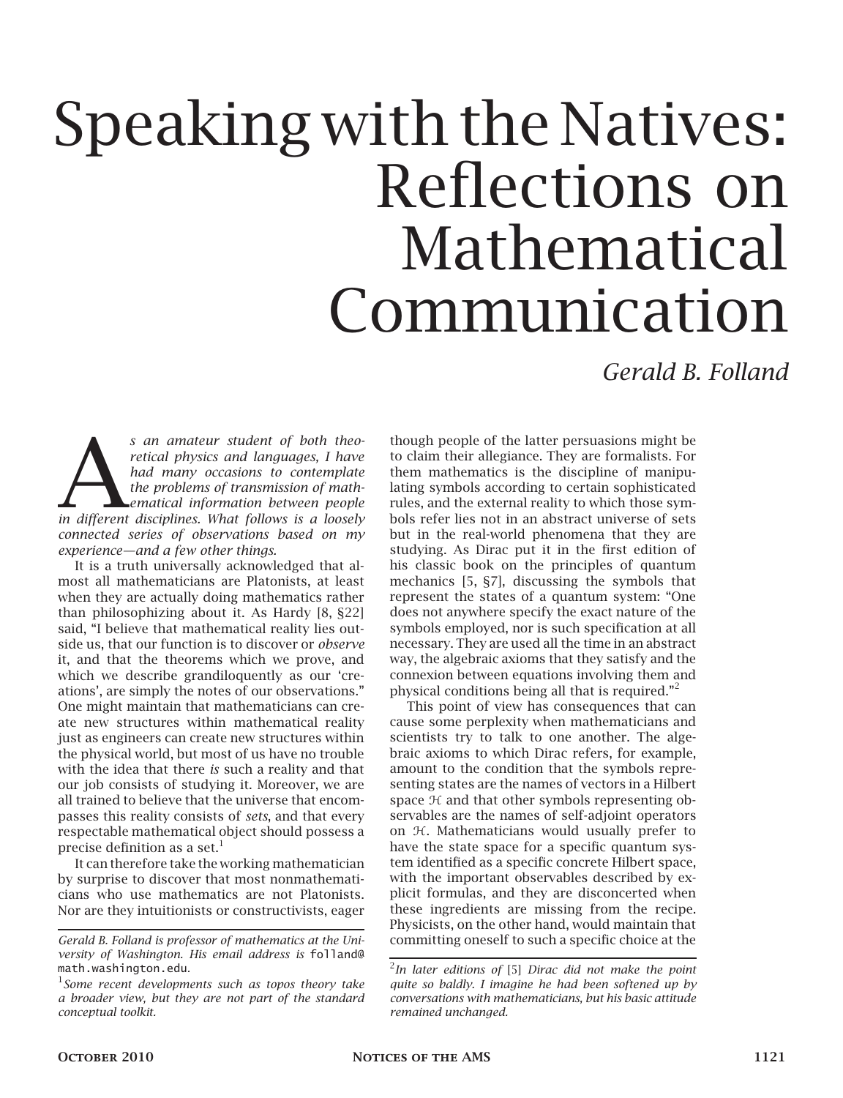# Speaking with the Natives: Reflections on Mathematical Communication

## *Gerald B. Folland*

*s* an amateur student of both theoretical physics and languages, I have had many occasions to contemplate the problems of transmission of math-<br>ematical information between people in different disciplines. What follows is *s an amateur student of both theoretical physics and languages, I have had many occasions to contemplate the problems of transmission of mathematical information between people connected series of observations based on my experience—and a few other things.*

It is a truth universally acknowledged that almost all mathematicians are Platonists, at least when they are actually doing mathematics rather than philosophizing about it. As Hardy [8, §22] said, "I believe that mathematical reality lies outside us, that our function is to discover or *observe* it, and that the theorems which we prove, and which we describe grandiloquently as our 'creations', are simply the notes of our observations." One might maintain that mathematicians can create new structures within mathematical reality just as engineers can create new structures within the physical world, but most of us have no trouble with the idea that there *is* such a reality and that our job consists of studying it. Moreover, we are all trained to believe that the universe that encompasses this reality consists of *sets*, and that every respectable mathematical object should possess a precise definition as a set. $<sup>1</sup>$ </sup>

It can therefore take the working mathematician by surprise to discover that most nonmathematicians who use mathematics are not Platonists. Nor are they intuitionists or constructivists, eager

though people of the latter persuasions might be to claim their allegiance. They are formalists. For them mathematics is the discipline of manipulating symbols according to certain sophisticated rules, and the external reality to which those symbols refer lies not in an abstract universe of sets but in the real-world phenomena that they are studying. As Dirac put it in the first edition of his classic book on the principles of quantum mechanics [5, §7], discussing the symbols that represent the states of a quantum system: "One does not anywhere specify the exact nature of the symbols employed, nor is such specification at all necessary. They are used all the time in an abstract way, the algebraic axioms that they satisfy and the connexion between equations involving them and physical conditions being all that is required."<sup>2</sup>

This point of view has consequences that can cause some perplexity when mathematicians and scientists try to talk to one another. The algebraic axioms to which Dirac refers, for example, amount to the condition that the symbols representing states are the names of vectors in a Hilbert space  $H$  and that other symbols representing observables are the names of self-adjoint operators on H. Mathematicians would usually prefer to have the state space for a specific quantum system identified as a specific concrete Hilbert space, with the important observables described by explicit formulas, and they are disconcerted when these ingredients are missing from the recipe. Physicists, on the other hand, would maintain that committing oneself to such a specific choice at the

*Gerald B. Folland is professor of mathematics at the University of Washington. His email address is* folland@ math.washington.edu*.*

<sup>1</sup> *Some recent developments such as topos theory take a broader view, but they are not part of the standard conceptual toolkit.*

<sup>2</sup> *In later editions of* [5] *Dirac did not make the point quite so baldly. I imagine he had been softened up by conversations with mathematicians, but his basic attitude remained unchanged.*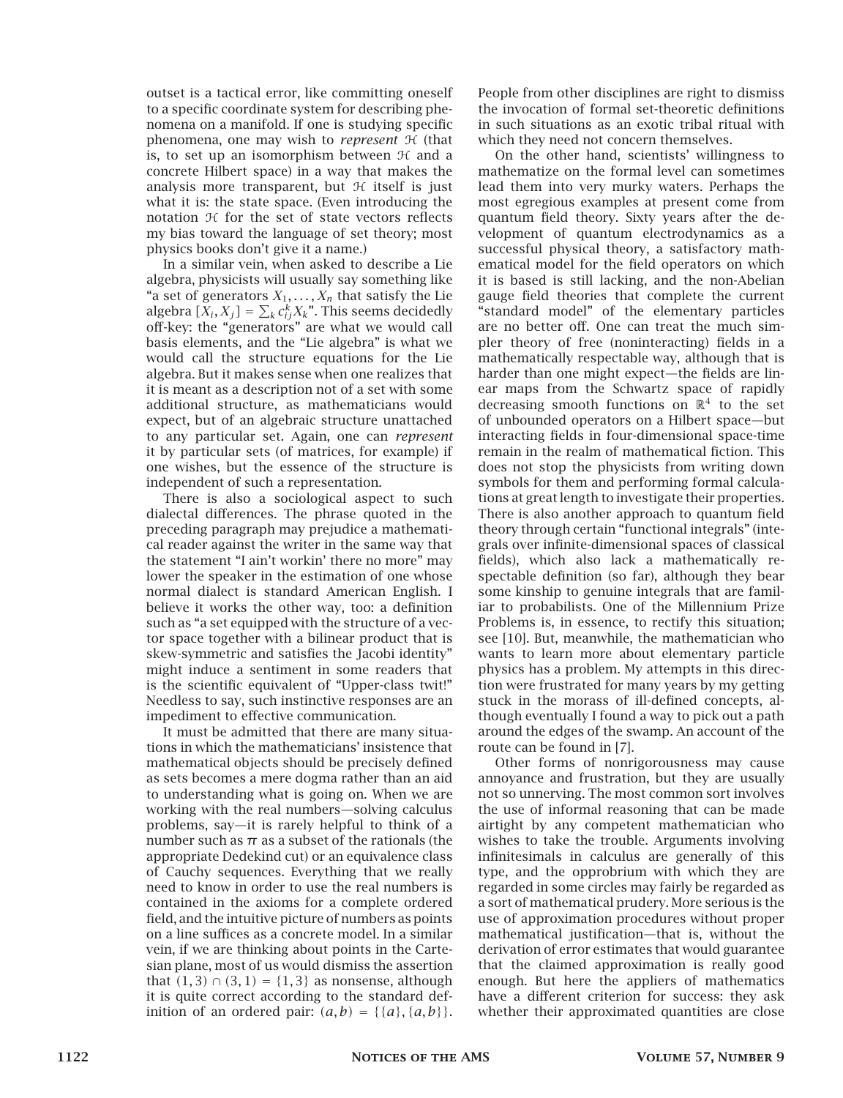outset is a tactical error, like committing oneself to a specific coordinate system for describing phenomena on a manifold. If one is studying specific phenomena, one may wish to *represent*  $H$  (that is, to set up an isomorphism between  $H$  and a concrete Hilbert space) in a way that makes the analysis more transparent, but  $H$  itself is just what it is: the state space. (Even introducing the notation  $H$  for the set of state vectors reflects my bias toward the language of set theory; most physics books don't give it a name.)

In a similar vein, when asked to describe a Lie algebra, physicists will usually say something like "a set of generators  $X_1, \ldots, X_n$  that satisfy the Lie algebra  $[X_i, X_j] = \sum_k c_{ij}^k X_k$ ". This seems decidedly off-key: the "generators" are what we would call basis elements, and the "Lie algebra" is what we would call the structure equations for the Lie algebra. But it makes sense when one realizes that it is meant as a description not of a set with some additional structure, as mathematicians would expect, but of an algebraic structure unattached to any particular set. Again, one can *represent* it by particular sets (of matrices, for example) if one wishes, but the essence of the structure is independent of such a representation.

There is also a sociological aspect to such dialectal differences. The phrase quoted in the preceding paragraph may prejudice a mathematical reader against the writer in the same way that the statement "I ain't workin' there no more" may lower the speaker in the estimation of one whose normal dialect is standard American English. I believe it works the other way, too: a definition such as "a set equipped with the structure of a vector space together with a bilinear product that is skew-symmetric and satisfies the Jacobi identity" might induce a sentiment in some readers that is the scientific equivalent of "Upper-class twit!" Needless to say, such instinctive responses are an impediment to effective communication.

It must be admitted that there are many situations in which the mathematicians' insistence that mathematical objects should be precisely defined as sets becomes a mere dogma rather than an aid to understanding what is going on. When we are working with the real numbers—solving calculus problems, say—it is rarely helpful to think of a number such as  $\pi$  as a subset of the rationals (the appropriate Dedekind cut) or an equivalence class of Cauchy sequences. Everything that we really need to know in order to use the real numbers is contained in the axioms for a complete ordered field, and the intuitive picture of numbers as points on a line suffices as a concrete model. In a similar vein, if we are thinking about points in the Cartesian plane, most of us would dismiss the assertion **that**  $(1, 3) ∩ (3, 1) = {1, 3}$  as nonsense, although it is quite correct according to the standard definition of an ordered pair:  $(a, b) = \{ \{a\}, \{a, b\} \}.$  People from other disciplines are right to dismiss the invocation of formal set-theoretic definitions in such situations as an exotic tribal ritual with which they need not concern themselves.

On the other hand, scientists' willingness to mathematize on the formal level can sometimes lead them into very murky waters. Perhaps the most egregious examples at present come from quantum field theory. Sixty years after the development of quantum electrodynamics as a successful physical theory, a satisfactory mathematical model for the field operators on which it is based is still lacking, and the non-Abelian gauge field theories that complete the current "standard model" of the elementary particles are no better off. One can treat the much simpler theory of free (noninteracting) fields in a mathematically respectable way, although that is harder than one might expect—the fields are linear maps from the Schwartz space of rapidly decreasing smooth functions on  $\mathbb{R}^4$  to the set of unbounded operators on a Hilbert space—but interacting fields in four-dimensional space-time remain in the realm of mathematical fiction. This does not stop the physicists from writing down symbols for them and performing formal calculations at great length to investigate their properties. There is also another approach to quantum field theory through certain "functional integrals" (integrals over infinite-dimensional spaces of classical fields), which also lack a mathematically respectable definition (so far), although they bear some kinship to genuine integrals that are familiar to probabilists. One of the Millennium Prize Problems is, in essence, to rectify this situation; see [10]. But, meanwhile, the mathematician who wants to learn more about elementary particle physics has a problem. My attempts in this direction were frustrated for many years by my getting stuck in the morass of ill-defined concepts, although eventually I found a way to pick out a path around the edges of the swamp. An account of the route can be found in [7].

Other forms of nonrigorousness may cause annoyance and frustration, but they are usually not so unnerving. The most common sort involves the use of informal reasoning that can be made airtight by any competent mathematician who wishes to take the trouble. Arguments involving infinitesimals in calculus are generally of this type, and the opprobrium with which they are regarded in some circles may fairly be regarded as a sort of mathematical prudery. More serious is the use of approximation procedures without proper mathematical justification—that is, without the derivation of error estimates that would guarantee that the claimed approximation is really good enough. But here the appliers of mathematics have a different criterion for success: they ask whether their approximated quantities are close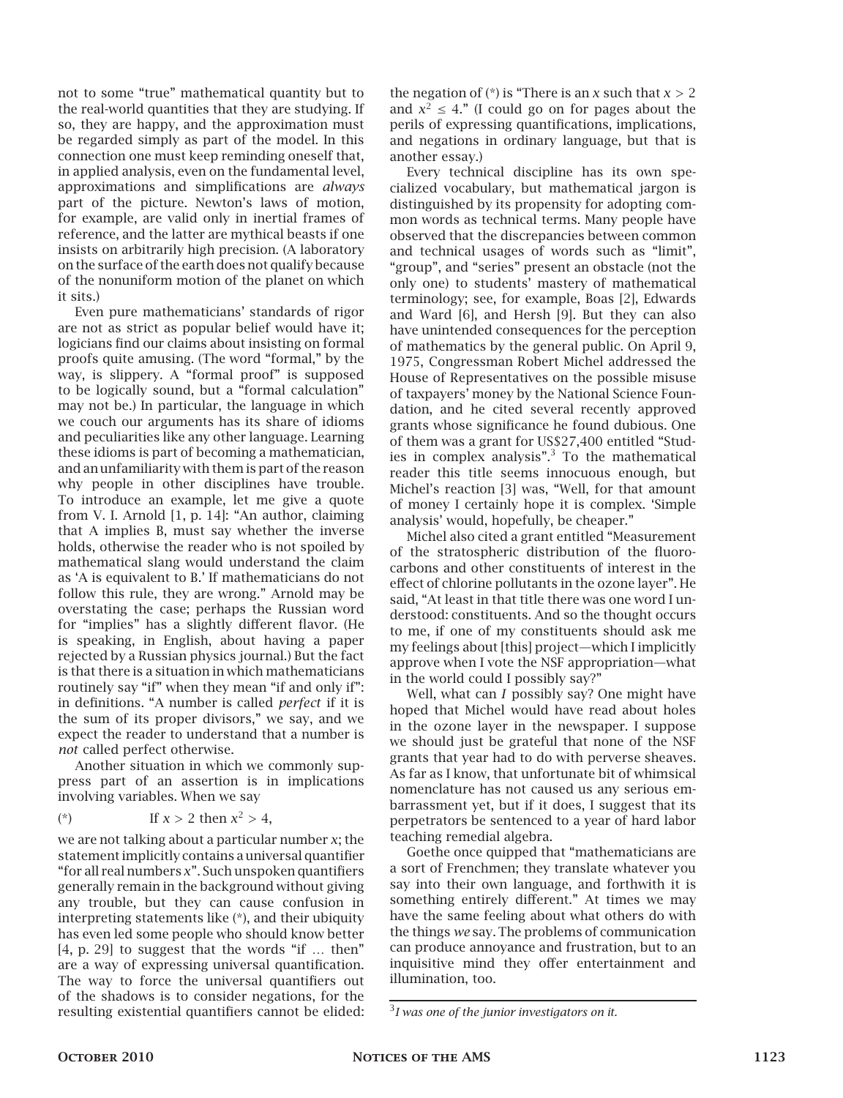not to some "true" mathematical quantity but to the real-world quantities that they are studying. If so, they are happy, and the approximation must be regarded simply as part of the model. In this connection one must keep reminding oneself that, in applied analysis, even on the fundamental level, approximations and simplifications are *always* part of the picture. Newton's laws of motion, for example, are valid only in inertial frames of reference, and the latter are mythical beasts if one insists on arbitrarily high precision. (A laboratory on the surface of the earth does not qualify because of the nonuniform motion of the planet on which it sits.)

Even pure mathematicians' standards of rigor are not as strict as popular belief would have it; logicians find our claims about insisting on formal proofs quite amusing. (The word "formal," by the way, is slippery. A "formal proof" is supposed to be logically sound, but a "formal calculation" may not be.) In particular, the language in which we couch our arguments has its share of idioms and peculiarities like any other language. Learning these idioms is part of becoming a mathematician, and an unfamiliarity with them is part of the reason why people in other disciplines have trouble. To introduce an example, let me give a quote from V. I. Arnold [1, p. 14]: "An author, claiming that A implies B, must say whether the inverse holds, otherwise the reader who is not spoiled by mathematical slang would understand the claim as 'A is equivalent to B.' If mathematicians do not follow this rule, they are wrong." Arnold may be overstating the case; perhaps the Russian word for "implies" has a slightly different flavor. (He is speaking, in English, about having a paper rejected by a Russian physics journal.) But the fact is that there is a situation in which mathematicians routinely say "if" when they mean "if and only if": in definitions. "A number is called *perfect* if it is the sum of its proper divisors," we say, and we expect the reader to understand that a number is *not* called perfect otherwise.

Another situation in which we commonly suppress part of an assertion is in implications involving variables. When we say

(\*) If 
$$
x > 2
$$
 then  $x^2 > 4$ ,

we are not talking about a particular number *x*; the statement implicitly contains a universal quantifier "for all real numbers *x*". Such unspoken quantifiers generally remain in the background without giving any trouble, but they can cause confusion in interpreting statements like (\*), and their ubiquity has even led some people who should know better [4, p. 29] to suggest that the words "if … then" are a way of expressing universal quantification. The way to force the universal quantifiers out of the shadows is to consider negations, for the resulting existential quantifiers cannot be elided: the negation of  $(*)$  is "There is an  $x$  such that  $x > 2$ and  $x^2 \leq 4$ ." (I could go on for pages about the perils of expressing quantifications, implications, and negations in ordinary language, but that is another essay.)

Every technical discipline has its own specialized vocabulary, but mathematical jargon is distinguished by its propensity for adopting common words as technical terms. Many people have observed that the discrepancies between common and technical usages of words such as "limit", "group", and "series" present an obstacle (not the only one) to students' mastery of mathematical terminology; see, for example, Boas [2], Edwards and Ward [6], and Hersh [9]. But they can also have unintended consequences for the perception of mathematics by the general public. On April 9, 1975, Congressman Robert Michel addressed the House of Representatives on the possible misuse of taxpayers' money by the National Science Foundation, and he cited several recently approved grants whose significance he found dubious. One of them was a grant for US\$27,400 entitled "Studies in complex analysis".<sup>3</sup> To the mathematical reader this title seems innocuous enough, but Michel's reaction [3] was, "Well, for that amount of money I certainly hope it is complex. 'Simple analysis' would, hopefully, be cheaper."

Michel also cited a grant entitled "Measurement of the stratospheric distribution of the fluorocarbons and other constituents of interest in the effect of chlorine pollutants in the ozone layer". He said, "At least in that title there was one word I understood: constituents. And so the thought occurs to me, if one of my constituents should ask me my feelings about [this] project—which I implicitly approve when I vote the NSF appropriation—what in the world could I possibly say?"

Well, what can *I* possibly say? One might have hoped that Michel would have read about holes in the ozone layer in the newspaper. I suppose we should just be grateful that none of the NSF grants that year had to do with perverse sheaves. As far as I know, that unfortunate bit of whimsical nomenclature has not caused us any serious embarrassment yet, but if it does, I suggest that its perpetrators be sentenced to a year of hard labor teaching remedial algebra.

Goethe once quipped that "mathematicians are a sort of Frenchmen; they translate whatever you say into their own language, and forthwith it is something entirely different." At times we may have the same feeling about what others do with the things *we* say. The problems of communication can produce annoyance and frustration, but to an inquisitive mind they offer entertainment and illumination, too.

<sup>3</sup> *I was one of the junior investigators on it.*